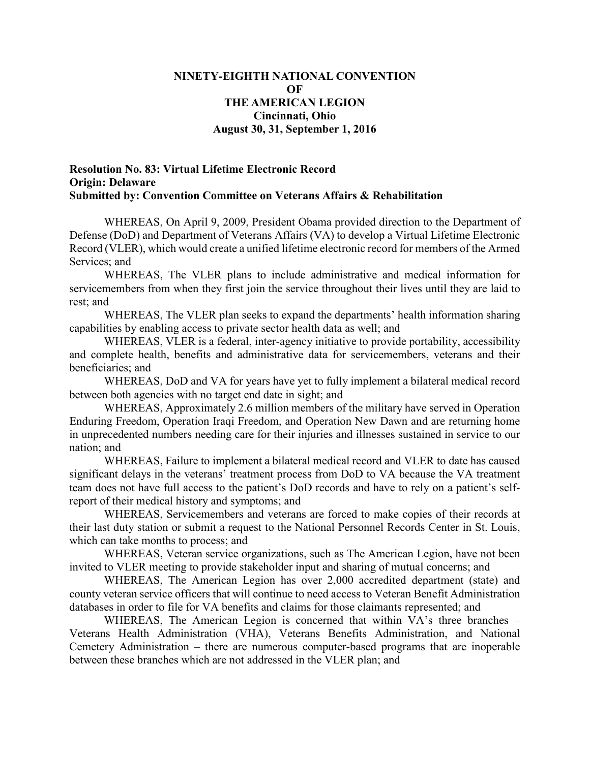## **NINETY-EIGHTH NATIONAL CONVENTION OF THE AMERICAN LEGION Cincinnati, Ohio August 30, 31, September 1, 2016**

## **Resolution No. 83: Virtual Lifetime Electronic Record Origin: Delaware Submitted by: Convention Committee on Veterans Affairs & Rehabilitation**

WHEREAS, On April 9, 2009, President Obama provided direction to the Department of Defense (DoD) and Department of Veterans Affairs (VA) to develop a Virtual Lifetime Electronic Record (VLER), which would create a unified lifetime electronic record for members of the Armed Services; and

WHEREAS, The VLER plans to include administrative and medical information for servicemembers from when they first join the service throughout their lives until they are laid to rest; and

WHEREAS, The VLER plan seeks to expand the departments' health information sharing capabilities by enabling access to private sector health data as well; and

WHEREAS, VLER is a federal, inter-agency initiative to provide portability, accessibility and complete health, benefits and administrative data for servicemembers, veterans and their beneficiaries; and

WHEREAS, DoD and VA for years have yet to fully implement a bilateral medical record between both agencies with no target end date in sight; and

WHEREAS, Approximately 2.6 million members of the military have served in Operation Enduring Freedom, Operation Iraqi Freedom, and Operation New Dawn and are returning home in unprecedented numbers needing care for their injuries and illnesses sustained in service to our nation; and

WHEREAS, Failure to implement a bilateral medical record and VLER to date has caused significant delays in the veterans' treatment process from DoD to VA because the VA treatment team does not have full access to the patient's DoD records and have to rely on a patient's selfreport of their medical history and symptoms; and

WHEREAS, Servicemembers and veterans are forced to make copies of their records at their last duty station or submit a request to the National Personnel Records Center in St. Louis, which can take months to process; and

WHEREAS, Veteran service organizations, such as The American Legion, have not been invited to VLER meeting to provide stakeholder input and sharing of mutual concerns; and

WHEREAS, The American Legion has over 2,000 accredited department (state) and county veteran service officers that will continue to need access to Veteran Benefit Administration databases in order to file for VA benefits and claims for those claimants represented; and

WHEREAS, The American Legion is concerned that within VA's three branches – Veterans Health Administration (VHA), Veterans Benefits Administration, and National Cemetery Administration – there are numerous computer-based programs that are inoperable between these branches which are not addressed in the VLER plan; and